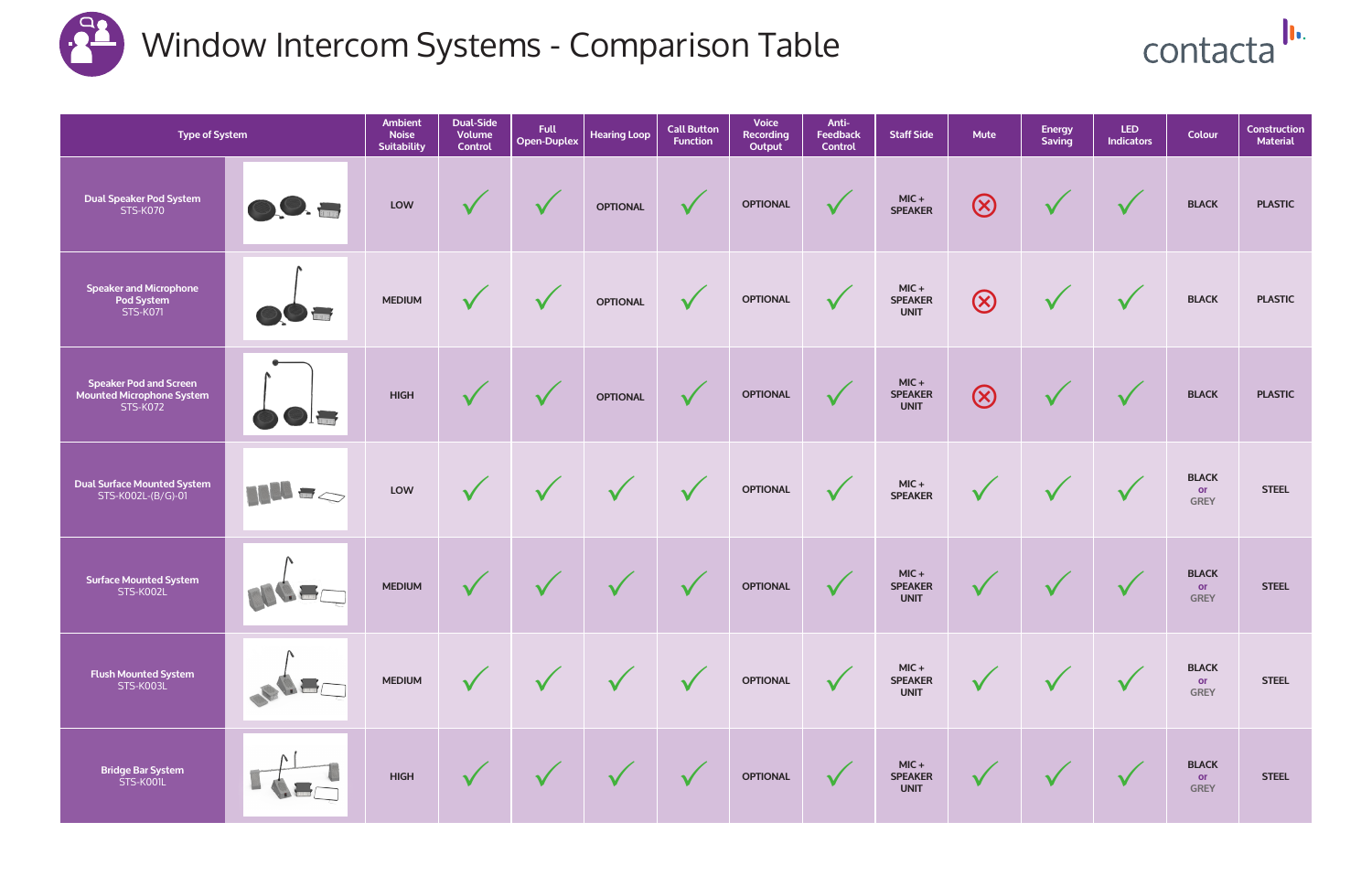| <b>Type of System</b>                                                                |                                        | <b>Ambient</b><br><b>Noise</b><br><b>Suitability</b> | <b>Dual-Side</b><br>Volume<br><b>Control</b> | <b>Full</b><br><b>Open-Duplex</b> | <b>Hearing Loop</b> | <b>Call Button</b><br><b>Function</b> | <b>Voice</b><br><b>Recording</b><br>Output | Anti-<br><b>Feedback</b><br><b>Control</b> | <b>Staff Side</b>                        | <b>Mute</b>  | <b>Energy</b><br>Saving | LED.<br><b>Indicators</b>  | Colour                            | <b>Construction</b><br><b>Material</b> |
|--------------------------------------------------------------------------------------|----------------------------------------|------------------------------------------------------|----------------------------------------------|-----------------------------------|---------------------|---------------------------------------|--------------------------------------------|--------------------------------------------|------------------------------------------|--------------|-------------------------|----------------------------|-----------------------------------|----------------------------------------|
| <b>Dual Speaker Pod System</b><br><b>STS-K070</b>                                    | O.O.                                   | LOW                                                  | $\checkmark$                                 | $\sqrt{}$                         | <b>OPTIONAL</b>     | $\checkmark$                          | <b>OPTIONAL</b>                            | $\checkmark$                               | $MIC +$<br><b>SPEAKER</b>                | $\bigotimes$ | $\checkmark$            | $\sqrt{}$                  | <b>BLACK</b>                      | <b>PLASTIC</b>                         |
| <b>Speaker and Microphone</b><br>Pod System<br><b>STS-K071</b>                       | <b>THE P</b>                           | <b>MEDIUM</b>                                        | $\checkmark$                                 | $\sqrt{}$                         | <b>OPTIONAL</b>     | $\checkmark$                          | <b>OPTIONAL</b>                            | $\checkmark$                               | $MIC +$<br><b>SPEAKER</b><br><b>UNIT</b> | $\bigotimes$ | $\checkmark$            | $\checkmark$               | <b>BLACK</b>                      | <b>PLASTIC</b>                         |
| <b>Speaker Pod and Screen</b><br><b>Mounted Microphone System</b><br><b>STS-K072</b> | <b>I designation</b>                   | <b>HIGH</b>                                          | $\checkmark$                                 | $\mathbf v$                       | <b>OPTIONAL</b>     | $\checkmark$                          | <b>OPTIONAL</b>                            | $\checkmark$                               | $MIC +$<br><b>SPEAKER</b><br><b>UNIT</b> | $\bigotimes$ | $\mathbf V$             | $\checkmark$               | <b>BLACK</b>                      | <b>PLASTIC</b>                         |
| <b>Dual Surface Mounted System</b><br>STS-K002L-(B/G)-01                             | $\mathbf{H}^{\mathbf{H}}$ $\mathbf{H}$ | LOW                                                  | $\checkmark$                                 | $\checkmark$                      |                     | $\checkmark$                          | <b>OPTIONAL</b>                            | $\checkmark$                               | $MIC +$<br><b>SPEAKER</b>                | $\checkmark$ | $\checkmark$            | $\checkmark$               | <b>BLACK</b><br>or<br><b>GREY</b> | <b>STEEL</b>                           |
| <b>Surface Mounted System</b><br>STS-K002L                                           |                                        | <b>MEDIUM</b>                                        | $\checkmark$                                 | $\sqrt{}$                         |                     | $\checkmark$                          | <b>OPTIONAL</b>                            | $\checkmark$                               | $MIC +$<br><b>SPEAKER</b><br><b>UNIT</b> | $\mathbf{V}$ | $\mathbf v$             | $\checkmark$               | <b>BLACK</b><br>or<br><b>GREY</b> | <b>STEEL</b>                           |
| <b>Flush Mounted System</b><br>STS-K003L                                             |                                        | <b>MEDIUM</b>                                        | $\checkmark$                                 | $\sqrt{}$                         | $\sqrt{ }$          | $\checkmark$                          | <b>OPTIONAL</b>                            |                                            | $MIC +$<br><b>SPEAKER</b><br><b>UNIT</b> |              |                         | $\mathbf v$                | <b>BLACK</b><br>or<br><b>GREY</b> | <b>STEEL</b>                           |
| <b>Bridge Bar System</b><br>STS-KOOIL                                                |                                        | <b>HIGH</b>                                          |                                              | $\sqrt{}$                         | $\sqrt{}$           | $\sqrt{}$                             | <b>OPTIONAL</b>                            |                                            | $MIC +$<br><b>SPEAKER</b><br><b>UNIT</b> |              |                         | $\boldsymbol{\mathcal{U}}$ | <b>BLACK</b><br>or<br><b>GREY</b> | <b>STEEL</b>                           |



## Window Intercom Systems - Comparison Table